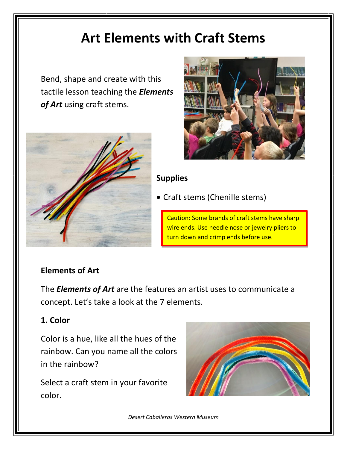# **Art Elements with Craft Stems**

Bend, shape and create with this tactile lesson teaching the *Elements of Art* using craft stems.





### **Supplies**

• Craft stems (Chenille stems)

Caution: Some brands of craft stems have sharp wire ends. Use needle nose or jewelry pliers to turn down and crimp ends before use.

## **Elements of Art**

The *Elements of Art* are the features an artist uses to communicate a concept. Let's take a look at the 7 elements.

## **1. Color**

Color is a hue, like all the hues of the rainbow. Can you name all the colors in the rainbow?

Select a craft stem in your favorite color.



*Desert Caballeros Western Museum*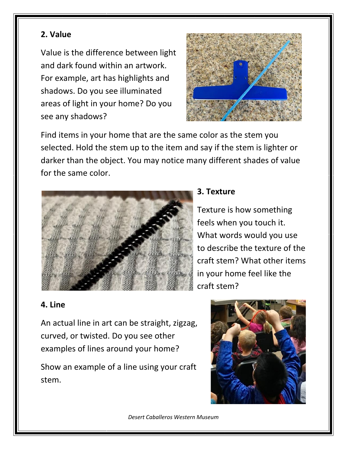## **2. Value**

Value is the difference between light and dark found within an artwork. For example, art has highlights and shadows. Do you see illuminated areas of light in your home? Do you see any shadows?



Find items in your home that are the same color as the stem you selected. Hold the stem up to the item and say if the stem is lighter or darker than the object. You may notice many different shades of value for the same color.



#### **3. Texture**

Texture is how something feels when you touch it. What words would you use to describe the texture of the craft stem? What other items in your home feel like the craft stem?

#### **4. Line**

An actual line in art can be straight, zigzag, curved, or twisted. Do you see other examples of lines around your home?

Show an example of a line using your craft stem.



*Desert Caballeros Western Museum*